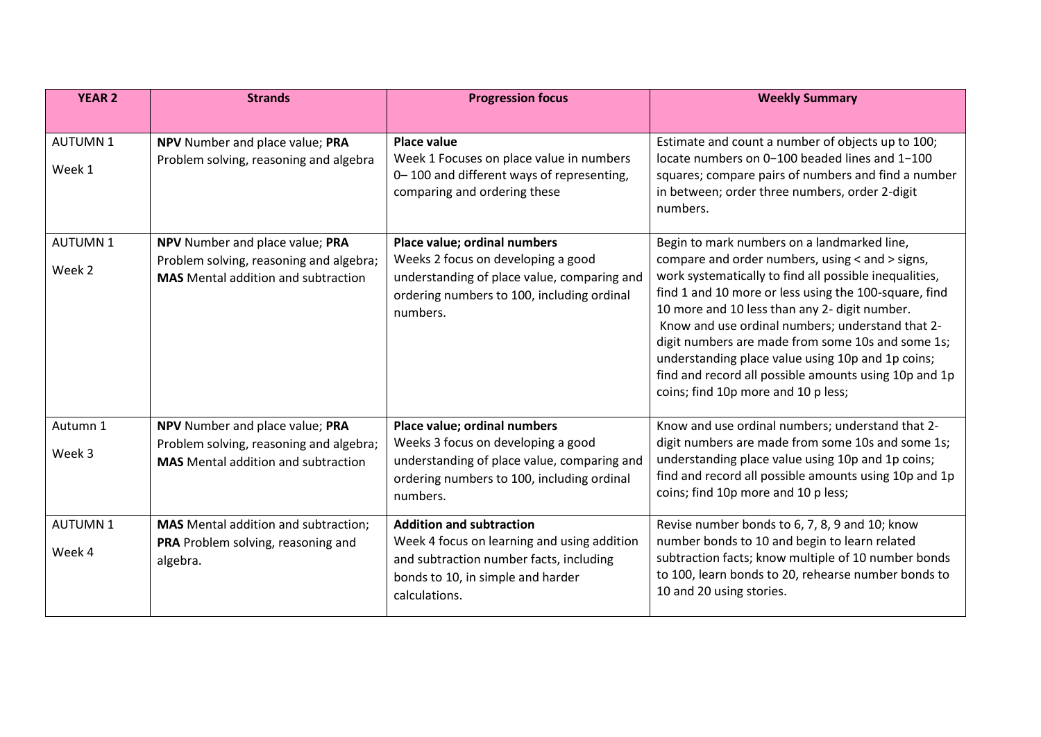| <b>YEAR 2</b>            | <b>Strands</b>                                                                                                           | <b>Progression focus</b>                                                                                                                                                        | <b>Weekly Summary</b>                                                                                                                                                                                                                                                                                                                                                                                                                                                                                                            |
|--------------------------|--------------------------------------------------------------------------------------------------------------------------|---------------------------------------------------------------------------------------------------------------------------------------------------------------------------------|----------------------------------------------------------------------------------------------------------------------------------------------------------------------------------------------------------------------------------------------------------------------------------------------------------------------------------------------------------------------------------------------------------------------------------------------------------------------------------------------------------------------------------|
|                          |                                                                                                                          |                                                                                                                                                                                 |                                                                                                                                                                                                                                                                                                                                                                                                                                                                                                                                  |
| <b>AUTUMN1</b><br>Week 1 | NPV Number and place value; PRA<br>Problem solving, reasoning and algebra                                                | <b>Place value</b><br>Week 1 Focuses on place value in numbers<br>0-100 and different ways of representing,<br>comparing and ordering these                                     | Estimate and count a number of objects up to 100;<br>locate numbers on 0-100 beaded lines and 1-100<br>squares; compare pairs of numbers and find a number<br>in between; order three numbers, order 2-digit                                                                                                                                                                                                                                                                                                                     |
|                          |                                                                                                                          |                                                                                                                                                                                 | numbers.                                                                                                                                                                                                                                                                                                                                                                                                                                                                                                                         |
| <b>AUTUMN1</b><br>Week 2 | NPV Number and place value; PRA<br>Problem solving, reasoning and algebra;<br><b>MAS</b> Mental addition and subtraction | Place value; ordinal numbers<br>Weeks 2 focus on developing a good<br>understanding of place value, comparing and<br>ordering numbers to 100, including ordinal<br>numbers.     | Begin to mark numbers on a landmarked line,<br>compare and order numbers, using < and > signs,<br>work systematically to find all possible inequalities,<br>find 1 and 10 more or less using the 100-square, find<br>10 more and 10 less than any 2- digit number.<br>Know and use ordinal numbers; understand that 2-<br>digit numbers are made from some 10s and some 1s;<br>understanding place value using 10p and 1p coins;<br>find and record all possible amounts using 10p and 1p<br>coins; find 10p more and 10 p less; |
| Autumn 1<br>Week 3       | NPV Number and place value; PRA<br>Problem solving, reasoning and algebra;<br><b>MAS</b> Mental addition and subtraction | Place value; ordinal numbers<br>Weeks 3 focus on developing a good<br>understanding of place value, comparing and<br>ordering numbers to 100, including ordinal<br>numbers.     | Know and use ordinal numbers; understand that 2-<br>digit numbers are made from some 10s and some 1s;<br>understanding place value using 10p and 1p coins;<br>find and record all possible amounts using 10p and 1p<br>coins; find 10p more and 10 p less;                                                                                                                                                                                                                                                                       |
| <b>AUTUMN1</b><br>Week 4 | <b>MAS</b> Mental addition and subtraction;<br>PRA Problem solving, reasoning and<br>algebra.                            | <b>Addition and subtraction</b><br>Week 4 focus on learning and using addition<br>and subtraction number facts, including<br>bonds to 10, in simple and harder<br>calculations. | Revise number bonds to 6, 7, 8, 9 and 10; know<br>number bonds to 10 and begin to learn related<br>subtraction facts; know multiple of 10 number bonds<br>to 100, learn bonds to 20, rehearse number bonds to<br>10 and 20 using stories.                                                                                                                                                                                                                                                                                        |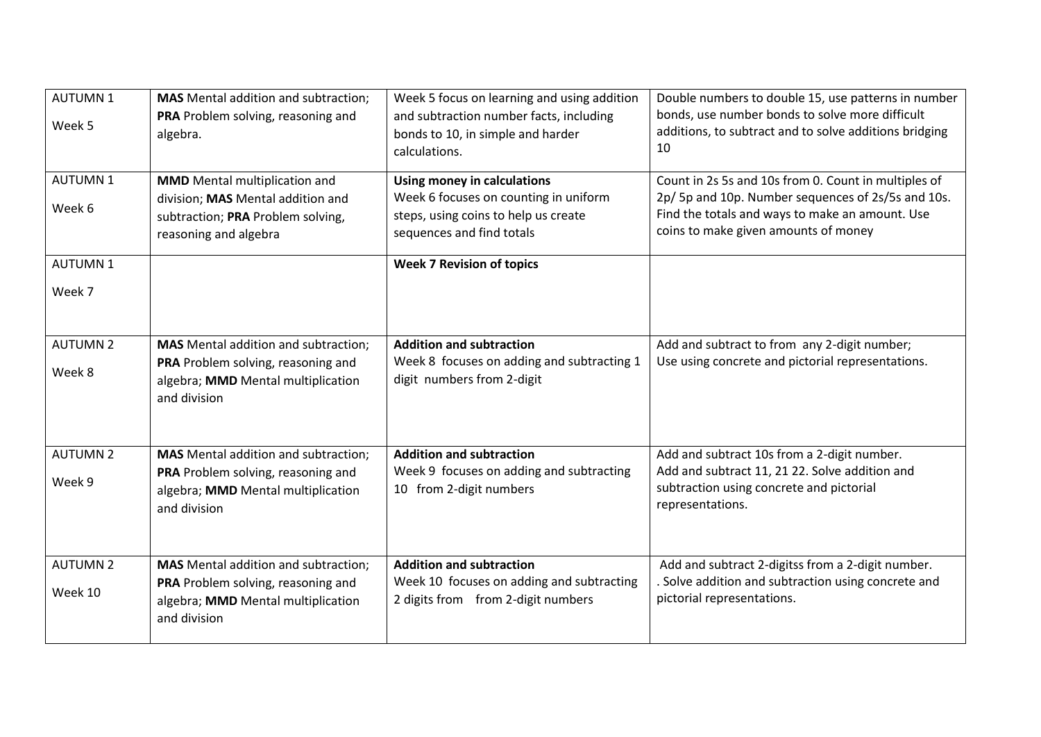| <b>AUTUMN1</b><br>Week 5   | <b>MAS</b> Mental addition and subtraction;<br>PRA Problem solving, reasoning and<br>algebra.                                           | Week 5 focus on learning and using addition<br>and subtraction number facts, including<br>bonds to 10, in simple and harder<br>calculations.     | Double numbers to double 15, use patterns in number<br>bonds, use number bonds to solve more difficult<br>additions, to subtract and to solve additions bridging<br>10                                |
|----------------------------|-----------------------------------------------------------------------------------------------------------------------------------------|--------------------------------------------------------------------------------------------------------------------------------------------------|-------------------------------------------------------------------------------------------------------------------------------------------------------------------------------------------------------|
| <b>AUTUMN1</b><br>Week 6   | <b>MMD</b> Mental multiplication and<br>division; MAS Mental addition and<br>subtraction; PRA Problem solving,<br>reasoning and algebra | <b>Using money in calculations</b><br>Week 6 focuses on counting in uniform<br>steps, using coins to help us create<br>sequences and find totals | Count in 2s 5s and 10s from 0. Count in multiples of<br>2p/ 5p and 10p. Number sequences of 2s/5s and 10s.<br>Find the totals and ways to make an amount. Use<br>coins to make given amounts of money |
| <b>AUTUMN1</b><br>Week 7   |                                                                                                                                         | <b>Week 7 Revision of topics</b>                                                                                                                 |                                                                                                                                                                                                       |
| <b>AUTUMN 2</b><br>Week 8  | <b>MAS</b> Mental addition and subtraction;<br>PRA Problem solving, reasoning and<br>algebra; MMD Mental multiplication<br>and division | <b>Addition and subtraction</b><br>Week 8 focuses on adding and subtracting 1<br>digit numbers from 2-digit                                      | Add and subtract to from any 2-digit number;<br>Use using concrete and pictorial representations.                                                                                                     |
| <b>AUTUMN 2</b><br>Week 9  | <b>MAS</b> Mental addition and subtraction;<br>PRA Problem solving, reasoning and<br>algebra; MMD Mental multiplication<br>and division | <b>Addition and subtraction</b><br>Week 9 focuses on adding and subtracting<br>10 from 2-digit numbers                                           | Add and subtract 10s from a 2-digit number.<br>Add and subtract 11, 21 22. Solve addition and<br>subtraction using concrete and pictorial<br>representations.                                         |
| <b>AUTUMN 2</b><br>Week 10 | <b>MAS</b> Mental addition and subtraction;<br>PRA Problem solving, reasoning and<br>algebra; MMD Mental multiplication<br>and division | <b>Addition and subtraction</b><br>Week 10 focuses on adding and subtracting<br>2 digits from from 2-digit numbers                               | Add and subtract 2-digitss from a 2-digit number.<br>Solve addition and subtraction using concrete and<br>pictorial representations.                                                                  |